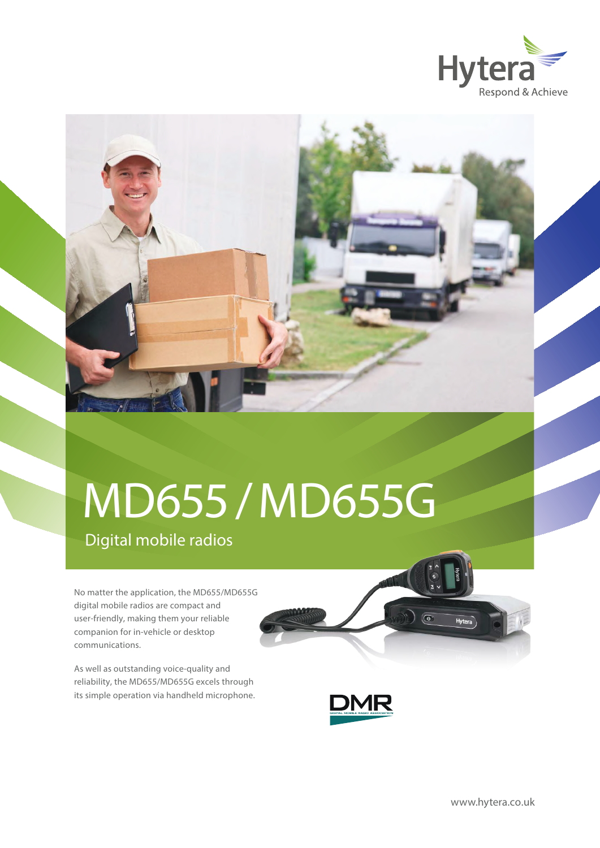



## Digital mobile radios MD655/MD655G

No matter the application, the MD655/MD655G digital mobile radios are compact and user-friendly, making them your reliable companion for in-vehicle or desktop communications.

As well as outstanding voice-quality and reliability, the MD655/MD655G excels through its simple operation via handheld microphone.



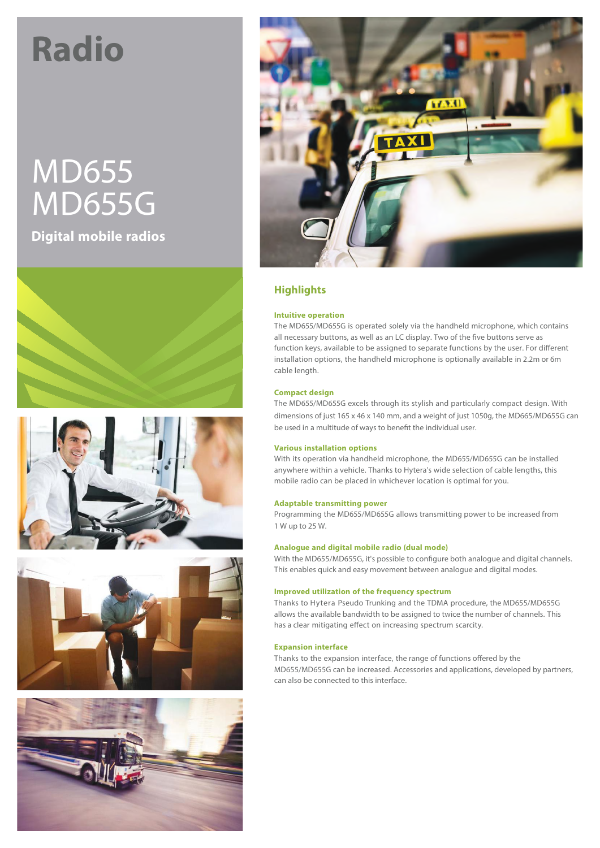# **Radio**

## MD655 MD655G

**Digital mobile radios**











## **Highlights**

## **Intuitive operation**

The MD655/MD655G is operated solely via the handheld microphone, which contains all necessary buttons, as well as an LC display. Two of the five buttons serve as function keys, available to be assigned to separate functions by the user. For different installation options, the handheld microphone is optionally available in 2.2m or 6m cable length.

#### **Compact design**

The MD655/MD655G excels through its stylish and particularly compact design. With dimensions of just 165 x 46 x 140 mm, and a weight of just 1050g, the MD665/MD655G can be used in a multitude of ways to benefit the individual user.

#### **Various installation options**

With its operation via handheld microphone, the MD655/MD655G can be installed anywhere within a vehicle. Thanks to Hytera's wide selection of cable lengths, this mobile radio can be placed in whichever location is optimal for you.

#### **Adaptable transmitting power**

Programming the MD655/MD655G allows transmitting power to be increased from 1 W up to 25 W.

#### **Analogue and digital mobile radio (dual mode)**

With the MD655/MD655G, it's possible to configure both analogue and digital channels. This enables quick and easy movement between analogue and digital modes.

#### **Improved utilization of the frequency spectrum**

Thanks to Hytera Pseudo Trunking and the TDMA procedure, the MD655/MD655G allows the available bandwidth to be assigned to twice the number of channels. This has a clear mitigating effect on increasing spectrum scarcity.

#### **Expansion interface**

Thanks to the expansion interface, the range of functions offered by the MD655/MD655G can be increased. Accessories and applications, developed by partners, can also be connected to this interface.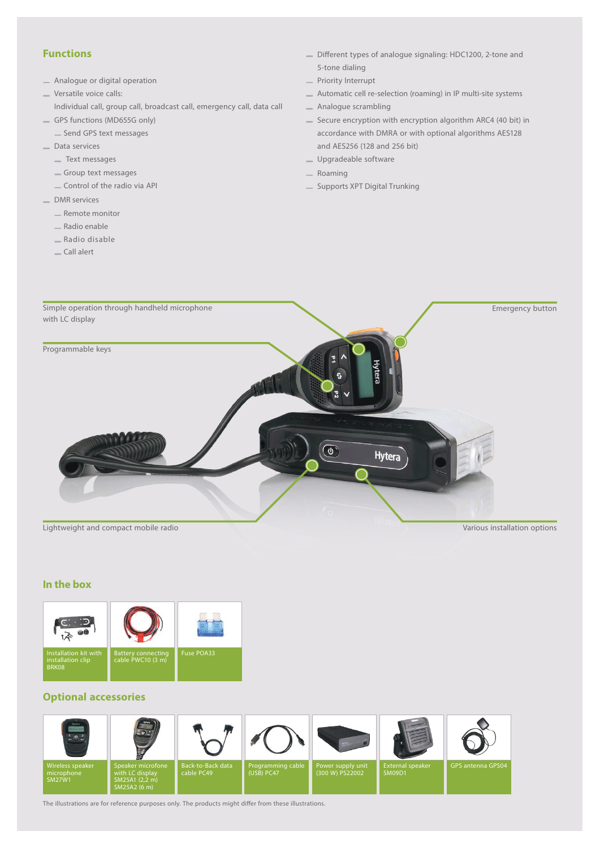## **Functions**

- Analogue or digital operation
- Versatile voice calls:
- Individual call, group call, broadcast call, emergency call, data call
- GPS functions (MD655G only)
	- Send GPS text messages
- Data services
	- Text messages
	- Group text messages
	- Control of the radio via API
- \_ DMR services
	- Remote monitor
	- Radio enable
	- Radio disable
	- Call alert
- Different types of analogue signaling: HDC1200, 2-tone and 5-tone dialing
- Priority Interrupt
- Automatic cell re-selection (roaming) in IP multi-site systems
- Analogue scrambling
- Secure encryption with encryption algorithm ARC4 (40 bit) in accordance with DMRA or with optional algorithms AES128 and AES256 (128 and 256 bit)
- Upgradeable software
- Roaming
- Supports XPT Digital Trunking



#### **In the box**



## **Optional accessories**



The illustrations are for reference purposes only. The products might differ from these illustrations.